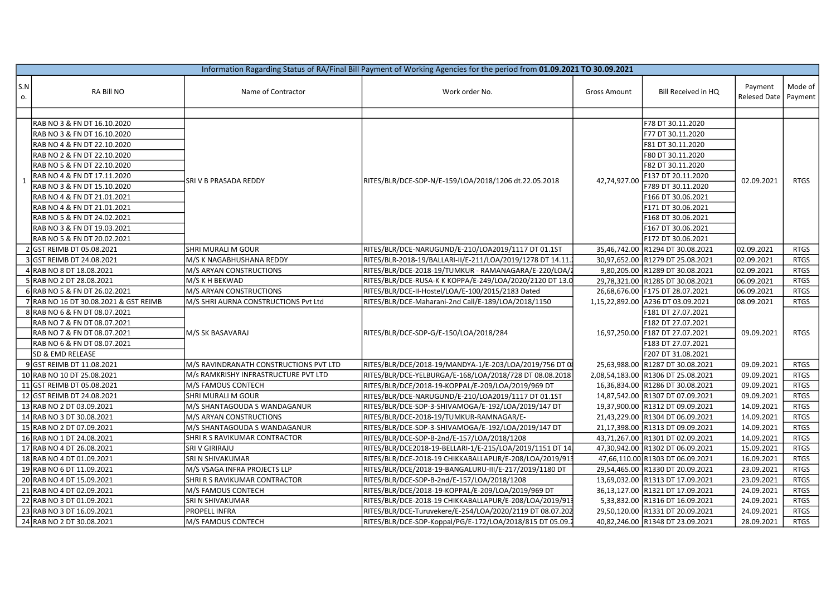| Information Ragarding Status of RA/Final Bill Payment of Working Agencies for the period from 01.09.2021 TO 30.09.2021 |                                                                                           |                                        |                                                            |                     |                                                               |                         |                    |  |  |  |  |
|------------------------------------------------------------------------------------------------------------------------|-------------------------------------------------------------------------------------------|----------------------------------------|------------------------------------------------------------|---------------------|---------------------------------------------------------------|-------------------------|--------------------|--|--|--|--|
| S.N<br>о.                                                                                                              | RA Bill NO                                                                                | Name of Contractor                     | Work order No.                                             | <b>Gross Amount</b> | Bill Received in HQ                                           | Payment<br>Relesed Date | Mode of<br>Payment |  |  |  |  |
|                                                                                                                        |                                                                                           |                                        |                                                            |                     |                                                               |                         |                    |  |  |  |  |
| $\mathbf{1}$                                                                                                           | RAB NO 3 & FN DT 16.10.2020<br>RAB NO 3 & FN DT 16.10.2020                                | SRI V B PRASADA REDDY                  | RITES/BLR/DCE-SDP-N/E-159/LOA/2018/1206 dt.22.05.2018      | 42,74,927.00        | F78 DT 30.11.2020<br>F77 DT 30.11.2020                        | 02.09.2021              | RTGS               |  |  |  |  |
|                                                                                                                        | RAB NO 4 & FN DT 22.10.2020<br>RAB NO 2 & FN DT 22.10.2020                                |                                        |                                                            |                     | F81 DT 30.11.2020<br>F80 DT 30.11.2020                        |                         |                    |  |  |  |  |
|                                                                                                                        | RAB NO 5 & FN DT 22.10.2020<br>RAB NO 4 & FN DT 17.11.2020<br>RAB NO 3 & FN DT 15.10.2020 |                                        |                                                            |                     | F82 DT 30.11.2020<br>F137 DT 20.11.2020<br>F789 DT 30.11.2020 |                         |                    |  |  |  |  |
|                                                                                                                        | RAB NO 4 & FN DT 21.01.2021<br>RAB NO 4 & FN DT 21.01.2021                                |                                        |                                                            |                     | F166 DT 30.06.2021<br>F171 DT 30.06.2021                      |                         |                    |  |  |  |  |
|                                                                                                                        | RAB NO 5 & FN DT 24.02.2021<br>RAB NO 3 & FN DT 19.03.2021<br>RAB NO 5 & FN DT 20.02.2021 |                                        |                                                            |                     | F168 DT 30.06.2021<br>F167 DT 30.06.2021                      |                         |                    |  |  |  |  |
|                                                                                                                        | 2 GST REIMB DT 05.08.2021                                                                 | SHRI MURALI M GOUR                     | RITES/BLR/DCE-NARUGUND/E-210/LOA2019/1117 DT 01.1ST        |                     | F172 DT 30.06.2021<br>35,46,742.00 R1294 DT 30.08.2021        | 02.09.2021              | <b>RTGS</b>        |  |  |  |  |
|                                                                                                                        | GST REIMB DT 24.08.2021                                                                   | M/S K NAGABHUSHANA REDDY               | RITES/BLR-2018-19/BALLARI-II/E-211/LOA/2019/1278 DT 14.11. |                     | 30,97,652.00 R1279 DT 25.08.2021                              | 02.09.2021              | <b>RTGS</b>        |  |  |  |  |
|                                                                                                                        | RAB NO 8 DT 18.08.2021                                                                    | M/S ARYAN CONSTRUCTIONS                | RITES/BLR/DCE-2018-19/TUMKUR - RAMANAGARA/E-220/LOA/2      |                     | 9,80,205.00 R1289 DT 30.08.2021                               | 02.09.2021              | <b>RTGS</b>        |  |  |  |  |
|                                                                                                                        | 5 RAB NO 2 DT 28.08.2021                                                                  | M/S K H BEKWAD                         | RITES/BLR/DCE-RUSA-K K KOPPA/E-249/LOA/2020/2120 DT 13.0   |                     | 29,78,321.00 R1285 DT 30.08.2021                              | 06.09.2021              | <b>RTGS</b>        |  |  |  |  |
|                                                                                                                        | 6 RAB NO 5 & FN DT 26.02.2021                                                             | M/S ARYAN CONSTRUCTIONS                | RITES/BLR/DCE-II-Hostel/LOA/E-100/2015/2183 Dated          |                     | 26,68,676.00 F175 DT 28.07.2021                               | 06.09.2021              | <b>RTGS</b>        |  |  |  |  |
|                                                                                                                        | 7 RAB NO 16 DT 30.08.2021 & GST REIMB                                                     | M/S SHRI AURNA CONSTRUCTIONS Pvt Ltd   | RITES/BLR/DCE-Maharani-2nd Call/E-189/LOA/2018/1150        |                     | 1,15,22,892.00 A236 DT 03.09.2021                             | 08.09.2021              | <b>RTGS</b>        |  |  |  |  |
|                                                                                                                        | 8 RAB NO 6 & FN DT 08.07.2021                                                             |                                        |                                                            |                     | F181 DT 27.07.2021                                            |                         |                    |  |  |  |  |
|                                                                                                                        | RAB NO 7 & FN DT 08.07.2021                                                               |                                        |                                                            |                     | F182 DT 27.07.2021                                            |                         |                    |  |  |  |  |
|                                                                                                                        | RAB NO 7 & FN DT 08.07.2021                                                               | M/S SK BASAVARAJ                       | RITES/BLR/DCE-SDP-G/E-150/LOA/2018/284                     |                     | 16,97,250.00 F187 DT 27.07.2021                               | 09.09.2021              | <b>RTGS</b>        |  |  |  |  |
|                                                                                                                        | RAB NO 6 & FN DT 08.07.2021                                                               |                                        |                                                            |                     | F183 DT 27.07.2021                                            |                         |                    |  |  |  |  |
|                                                                                                                        | SD & EMD RELEASE                                                                          |                                        |                                                            |                     | F207 DT 31.08.2021                                            |                         |                    |  |  |  |  |
|                                                                                                                        | 9 GST REIMB DT 11.08.2021                                                                 | M/S RAVINDRANATH CONSTRUCTIONS PVT LTD | RITES/BLR/DCE/2018-19/MANDYA-1/E-203/LOA/2019/756 DT 08    |                     | 25,63,988.00 R1287 DT 30.08.2021                              | 09.09.2021              | <b>RTGS</b>        |  |  |  |  |
|                                                                                                                        | 10 RAB NO 10 DT 25.08.2021                                                                | M/s RAMKRISHY INFRASTRUCTURE PVT LTD   | RITES/BLR/DCE-YELBURGA/E-168/LOA/2018/728 DT 08.08.2018    |                     | 2,08,54,183.00 R1306 DT 25.08.2021                            | 09.09.2021              | <b>RTGS</b>        |  |  |  |  |
|                                                                                                                        | 11 GST REIMB DT 05.08.2021                                                                | M/S FAMOUS CONTECH                     | RITES/BLR/DCE/2018-19-KOPPAL/E-209/LOA/2019/969 DT         |                     | 16,36,834.00 R1286 DT 30.08.2021                              | 09.09.2021              | <b>RTGS</b>        |  |  |  |  |
|                                                                                                                        | 12 GST REIMB DT 24.08.2021                                                                | SHRI MURALI M GOUR                     | RITES/BLR/DCE-NARUGUND/E-210/LOA2019/1117 DT 01.1ST        |                     | 14,87,542.00 R1307 DT 07.09.2021                              | 09.09.2021              | <b>RTGS</b>        |  |  |  |  |
|                                                                                                                        | 13 RAB NO 2 DT 03.09.2021                                                                 | M/S SHANTAGOUDA S WANDAGANUR           | RITES/BLR/DCE-SDP-3-SHIVAMOGA/E-192/LOA/2019/147 DT        |                     | 19,37,900.00 R1312 DT 09.09.2021                              | 14.09.2021              | <b>RTGS</b>        |  |  |  |  |
|                                                                                                                        | 14 RAB NO 3 DT 30.08.2021                                                                 | M/S ARYAN CONSTRUCTIONS                | RITES/BLR/DCE-2018-19/TUMKUR-RAMNAGAR/E-                   |                     | 21,43,229.00 R1304 DT 06.09.2021                              | 14.09.2021              | <b>RTGS</b>        |  |  |  |  |
|                                                                                                                        | 15 RAB NO 2 DT 07.09.2021                                                                 | M/S SHANTAGOUDA S WANDAGANUR           | RITES/BLR/DCE-SDP-3-SHIVAMOGA/E-192/LOA/2019/147 DT        |                     | 21,17,398.00 R1313 DT 09.09.2021                              | 14.09.2021              | <b>RTGS</b>        |  |  |  |  |
|                                                                                                                        | 16 RAB NO 1 DT 24.08.2021                                                                 | SHRI R S RAVIKUMAR CONTRACTOR          | RITES/BLR/DCE-SDP-B-2nd/E-157/LOA/2018/1208                |                     | 43,71,267.00 R1301 DT 02.09.2021                              | 14.09.2021              | <b>RTGS</b>        |  |  |  |  |
|                                                                                                                        | 17 RAB NO 4 DT 26.08.2021                                                                 | SRI V GIRIRAJU                         | RITES/BLR/DCE2018-19-BELLARI-1/E-215/LOA/2019/1151 DT 14.  |                     | 47,30,942.00 R1302 DT 06.09.2021                              | 15.09.2021              | <b>RTGS</b>        |  |  |  |  |
|                                                                                                                        | 18 RAB NO 4 DT 01.09.2021                                                                 | SRI N SHIVAKUMAR                       | RITES/BLR/DCE-2018-19 CHIKKABALLAPUR/E-208/LOA/2019/913    |                     | 47,66,110.00 R1303 DT 06.09.2021                              | 16.09.2021              | <b>RTGS</b>        |  |  |  |  |
|                                                                                                                        | 19 RAB NO 6 DT 11.09.2021                                                                 | M/S VSAGA INFRA PROJECTS LLP           | RITES/BLR/DCE/2018-19-BANGALURU-III/E-217/2019/1180 DT     |                     | 29,54,465.00 R1330 DT 20.09.2021                              | 23.09.2021              | <b>RTGS</b>        |  |  |  |  |
|                                                                                                                        | 20 RAB NO 4 DT 15.09.2021                                                                 | SHRI R S RAVIKUMAR CONTRACTOR          | RITES/BLR/DCE-SDP-B-2nd/E-157/LOA/2018/1208                |                     | 13,69,032.00 R1313 DT 17.09.2021                              | 23.09.2021              | <b>RTGS</b>        |  |  |  |  |
|                                                                                                                        | 21 RAB NO 4 DT 02.09.2021                                                                 | M/S FAMOUS CONTECH                     | RITES/BLR/DCE/2018-19-KOPPAL/E-209/LOA/2019/969 DT         |                     | 36,13,127.00 R1321 DT 17.09.2021                              | 24.09.2021              | <b>RTGS</b>        |  |  |  |  |
|                                                                                                                        | 22 RAB NO 3 DT 01.09.2021                                                                 | SRI N SHIVAKUMAR                       | RITES/BLR/DCE-2018-19 CHIKKABALLAPUR/E-208/LOA/2019/913    |                     | 5,33,832.00 R1316 DT 16.09.2021                               | 24.09.2021              | <b>RTGS</b>        |  |  |  |  |
|                                                                                                                        | 23 RAB NO 3 DT 16.09.2021                                                                 | PROPELL INFRA                          | RITES/BLR/DCE-Turuvekere/E-254/LOA/2020/2119 DT 08.07.202  |                     | 29,50,120.00 R1331 DT 20.09.2021                              | 24.09.2021              | <b>RTGS</b>        |  |  |  |  |
|                                                                                                                        | 24 RAB NO 2 DT 30.08.2021                                                                 | M/S FAMOUS CONTECH                     | RITES/BLR/DCE-SDP-Koppal/PG/E-172/LOA/2018/815 DT 05.09.2  |                     | 40,82,246.00 R1348 DT 23.09.2021                              | 28.09.2021              | <b>RTGS</b>        |  |  |  |  |